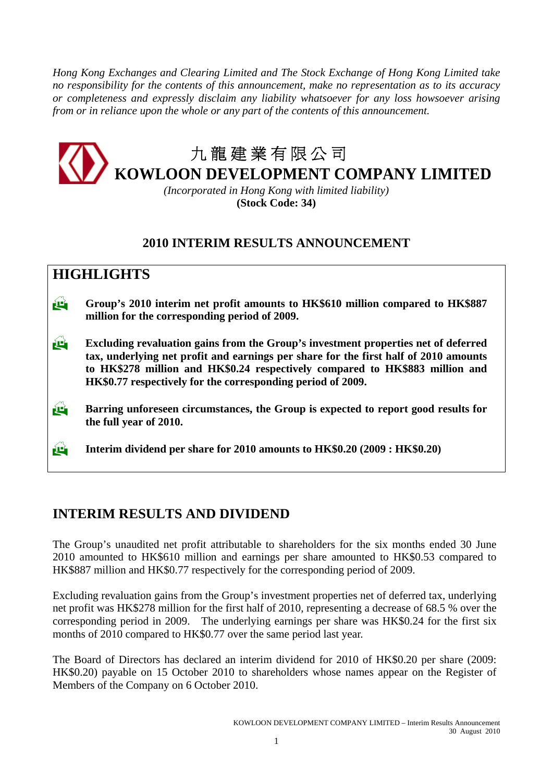*Hong Kong Exchanges and Clearing Limited and The Stock Exchange of Hong Kong Limited take no responsibility for the contents of this announcement, make no representation as to its accuracy or completeness and expressly disclaim any liability whatsoever for any loss howsoever arising from or in reliance upon the whole or any part of the contents of this announcement.* 



*(Incorporated in Hong Kong with limited liability)*  **(Stock Code: 34)** 

# **2010 INTERIM RESULTS ANNOUNCEMENT**

# **HIGHLIGHTS**

- **Group's 2010 interim net profit amounts to HK\$610 million compared to HK\$887 million for the corresponding period of 2009.**
- **Excluding revaluation gains from the Group's investment properties net of deferred tax, underlying net profit and earnings per share for the first half of 2010 amounts to HK\$278 million and HK\$0.24 respectively compared to HK\$883 million and HK\$0.77 respectively for the corresponding period of 2009.**
- **Barring unforeseen circumstances, the Group is expected to report good results for the full year of 2010.**

**Interim dividend per share for 2010 amounts to HK\$0.20 (2009 : HK\$0.20)** 

# **INTERIM RESULTS AND DIVIDEND**

The Group's unaudited net profit attributable to shareholders for the six months ended 30 June 2010 amounted to HK\$610 million and earnings per share amounted to HK\$0.53 compared to HK\$887 million and HK\$0.77 respectively for the corresponding period of 2009.

Excluding revaluation gains from the Group's investment properties net of deferred tax, underlying net profit was HK\$278 million for the first half of 2010, representing a decrease of 68.5 % over the corresponding period in 2009. The underlying earnings per share was HK\$0.24 for the first six months of 2010 compared to HK\$0.77 over the same period last year.

The Board of Directors has declared an interim dividend for 2010 of HK\$0.20 per share (2009: HK\$0.20) payable on 15 October 2010 to shareholders whose names appear on the Register of Members of the Company on 6 October 2010.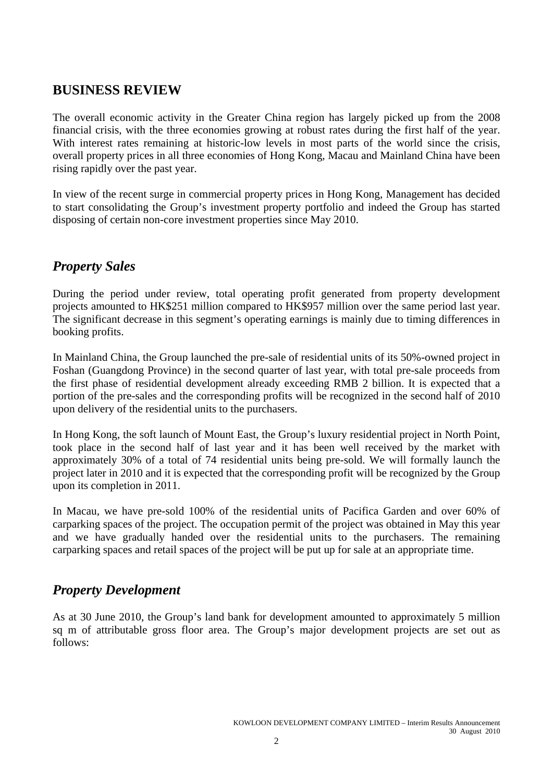# **BUSINESS REVIEW**

The overall economic activity in the Greater China region has largely picked up from the 2008 financial crisis, with the three economies growing at robust rates during the first half of the year. With interest rates remaining at historic-low levels in most parts of the world since the crisis, overall property prices in all three economies of Hong Kong, Macau and Mainland China have been rising rapidly over the past year.

In view of the recent surge in commercial property prices in Hong Kong, Management has decided to start consolidating the Group's investment property portfolio and indeed the Group has started disposing of certain non-core investment properties since May 2010.

# *Property Sales*

During the period under review, total operating profit generated from property development projects amounted to HK\$251 million compared to HK\$957 million over the same period last year. The significant decrease in this segment's operating earnings is mainly due to timing differences in booking profits.

In Mainland China, the Group launched the pre-sale of residential units of its 50%-owned project in Foshan (Guangdong Province) in the second quarter of last year, with total pre-sale proceeds from the first phase of residential development already exceeding RMB 2 billion. It is expected that a portion of the pre-sales and the corresponding profits will be recognized in the second half of 2010 upon delivery of the residential units to the purchasers.

In Hong Kong, the soft launch of Mount East, the Group's luxury residential project in North Point, took place in the second half of last year and it has been well received by the market with approximately 30% of a total of 74 residential units being pre-sold. We will formally launch the project later in 2010 and it is expected that the corresponding profit will be recognized by the Group upon its completion in 2011.

In Macau, we have pre-sold 100% of the residential units of Pacifica Garden and over 60% of carparking spaces of the project. The occupation permit of the project was obtained in May this year and we have gradually handed over the residential units to the purchasers. The remaining carparking spaces and retail spaces of the project will be put up for sale at an appropriate time.

# *Property Development*

As at 30 June 2010, the Group's land bank for development amounted to approximately 5 million sq m of attributable gross floor area. The Group's major development projects are set out as follows: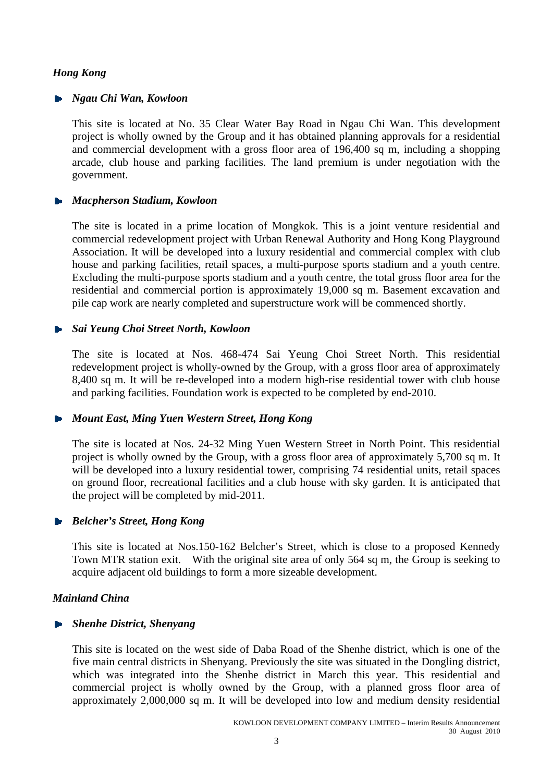## *Hong Kong*

### *Ngau Chi Wan, Kowloon*

This site is located at No. 35 Clear Water Bay Road in Ngau Chi Wan. This development project is wholly owned by the Group and it has obtained planning approvals for a residential and commercial development with a gross floor area of 196,400 sq m, including a shopping arcade, club house and parking facilities. The land premium is under negotiation with the government.

### *Macpherson Stadium, Kowloon*

The site is located in a prime location of Mongkok. This is a joint venture residential and commercial redevelopment project with Urban Renewal Authority and Hong Kong Playground Association. It will be developed into a luxury residential and commercial complex with club house and parking facilities, retail spaces, a multi-purpose sports stadium and a youth centre. Excluding the multi-purpose sports stadium and a youth centre, the total gross floor area for the residential and commercial portion is approximately 19,000 sq m. Basement excavation and pile cap work are nearly completed and superstructure work will be commenced shortly.

### *Sai Yeung Choi Street North, Kowloon*

The site is located at Nos. 468-474 Sai Yeung Choi Street North. This residential redevelopment project is wholly-owned by the Group, with a gross floor area of approximately 8,400 sq m. It will be re-developed into a modern high-rise residential tower with club house and parking facilities. Foundation work is expected to be completed by end-2010.

### *Mount East, Ming Yuen Western Street, Hong Kong*

The site is located at Nos. 24-32 Ming Yuen Western Street in North Point. This residential project is wholly owned by the Group, with a gross floor area of approximately 5,700 sq m. It will be developed into a luxury residential tower, comprising 74 residential units, retail spaces on ground floor, recreational facilities and a club house with sky garden. It is anticipated that the project will be completed by mid-2011.

### *Belcher's Street, Hong Kong*

This site is located at Nos.150-162 Belcher's Street, which is close to a proposed Kennedy Town MTR station exit. With the original site area of only 564 sq m, the Group is seeking to acquire adjacent old buildings to form a more sizeable development.

### *Mainland China*

### *Shenhe District, Shenyang*

This site is located on the west side of Daba Road of the Shenhe district, which is one of the five main central districts in Shenyang. Previously the site was situated in the Dongling district, which was integrated into the Shenhe district in March this year. This residential and commercial project is wholly owned by the Group, with a planned gross floor area of approximately 2,000,000 sq m. It will be developed into low and medium density residential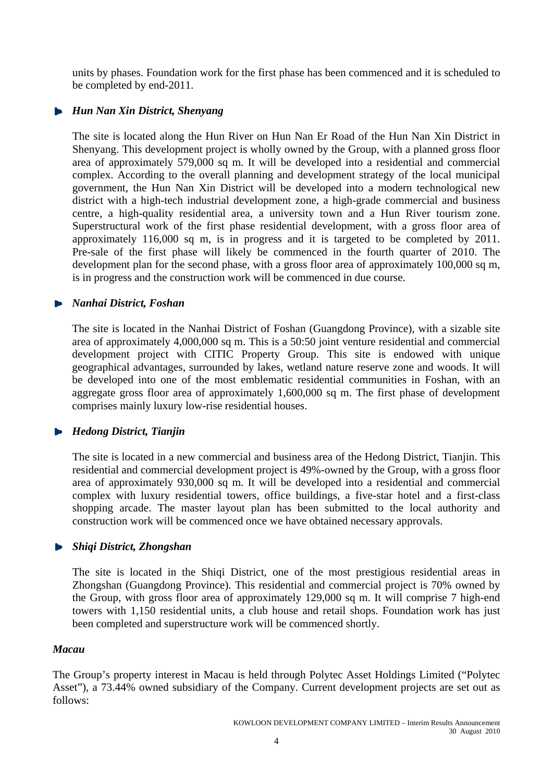units by phases. Foundation work for the first phase has been commenced and it is scheduled to be completed by end-2011.

## *Hun Nan Xin District, Shenyang*

The site is located along the Hun River on Hun Nan Er Road of the Hun Nan Xin District in Shenyang. This development project is wholly owned by the Group, with a planned gross floor area of approximately 579,000 sq m. It will be developed into a residential and commercial complex. According to the overall planning and development strategy of the local municipal government, the Hun Nan Xin District will be developed into a modern technological new district with a high-tech industrial development zone, a high-grade commercial and business centre, a high-quality residential area, a university town and a Hun River tourism zone. Superstructural work of the first phase residential development, with a gross floor area of approximately 116,000 sq m, is in progress and it is targeted to be completed by 2011. Pre-sale of the first phase will likely be commenced in the fourth quarter of 2010. The development plan for the second phase, with a gross floor area of approximately 100,000 sq m, is in progress and the construction work will be commenced in due course.

## *Nanhai District, Foshan*

The site is located in the Nanhai District of Foshan (Guangdong Province), with a sizable site area of approximately 4,000,000 sq m. This is a 50:50 joint venture residential and commercial development project with CITIC Property Group. This site is endowed with unique geographical advantages, surrounded by lakes, wetland nature reserve zone and woods. It will be developed into one of the most emblematic residential communities in Foshan, with an aggregate gross floor area of approximately 1,600,000 sq m. The first phase of development comprises mainly luxury low-rise residential houses.

## *Hedong District, Tianjin*

The site is located in a new commercial and business area of the Hedong District, Tianjin. This residential and commercial development project is 49%-owned by the Group, with a gross floor area of approximately 930,000 sq m. It will be developed into a residential and commercial complex with luxury residential towers, office buildings, a five-star hotel and a first-class shopping arcade. The master layout plan has been submitted to the local authority and construction work will be commenced once we have obtained necessary approvals.

## *Shiqi District, Zhongshan*

The site is located in the Shiqi District, one of the most prestigious residential areas in Zhongshan (Guangdong Province). This residential and commercial project is 70% owned by the Group, with gross floor area of approximately 129,000 sq m. It will comprise 7 high-end towers with 1,150 residential units, a club house and retail shops. Foundation work has just been completed and superstructure work will be commenced shortly.

## *Macau*

The Group's property interest in Macau is held through Polytec Asset Holdings Limited ("Polytec Asset"), a 73.44% owned subsidiary of the Company. Current development projects are set out as follows: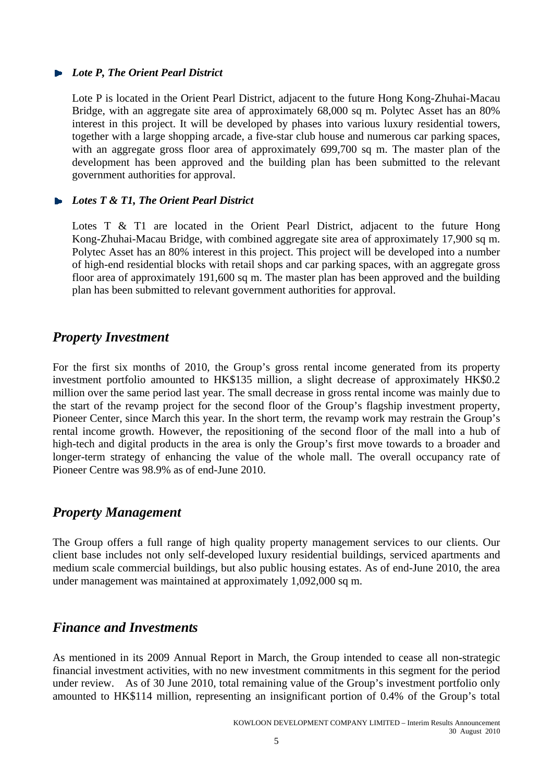## *Lote P, The Orient Pearl District*

Lote P is located in the Orient Pearl District, adjacent to the future Hong Kong-Zhuhai-Macau Bridge, with an aggregate site area of approximately 68,000 sq m. Polytec Asset has an 80% interest in this project. It will be developed by phases into various luxury residential towers, together with a large shopping arcade, a five-star club house and numerous car parking spaces, with an aggregate gross floor area of approximately 699,700 sq m. The master plan of the development has been approved and the building plan has been submitted to the relevant government authorities for approval.

## *Lotes T & T1, The Orient Pearl District*

Lotes T & T1 are located in the Orient Pearl District, adjacent to the future Hong Kong-Zhuhai-Macau Bridge, with combined aggregate site area of approximately 17,900 sq m. Polytec Asset has an 80% interest in this project. This project will be developed into a number of high-end residential blocks with retail shops and car parking spaces, with an aggregate gross floor area of approximately 191,600 sq m. The master plan has been approved and the building plan has been submitted to relevant government authorities for approval.

## *Property Investment*

For the first six months of 2010, the Group's gross rental income generated from its property investment portfolio amounted to HK\$135 million, a slight decrease of approximately HK\$0.2 million over the same period last year. The small decrease in gross rental income was mainly due to the start of the revamp project for the second floor of the Group's flagship investment property, Pioneer Center, since March this year. In the short term, the revamp work may restrain the Group's rental income growth. However, the repositioning of the second floor of the mall into a hub of high-tech and digital products in the area is only the Group's first move towards to a broader and longer-term strategy of enhancing the value of the whole mall. The overall occupancy rate of Pioneer Centre was 98.9% as of end-June 2010.

## *Property Management*

The Group offers a full range of high quality property management services to our clients. Our client base includes not only self-developed luxury residential buildings, serviced apartments and medium scale commercial buildings, but also public housing estates. As of end-June 2010, the area under management was maintained at approximately 1,092,000 sq m.

## *Finance and Investments*

As mentioned in its 2009 Annual Report in March, the Group intended to cease all non-strategic financial investment activities, with no new investment commitments in this segment for the period under review. As of 30 June 2010, total remaining value of the Group's investment portfolio only amounted to HK\$114 million, representing an insignificant portion of 0.4% of the Group's total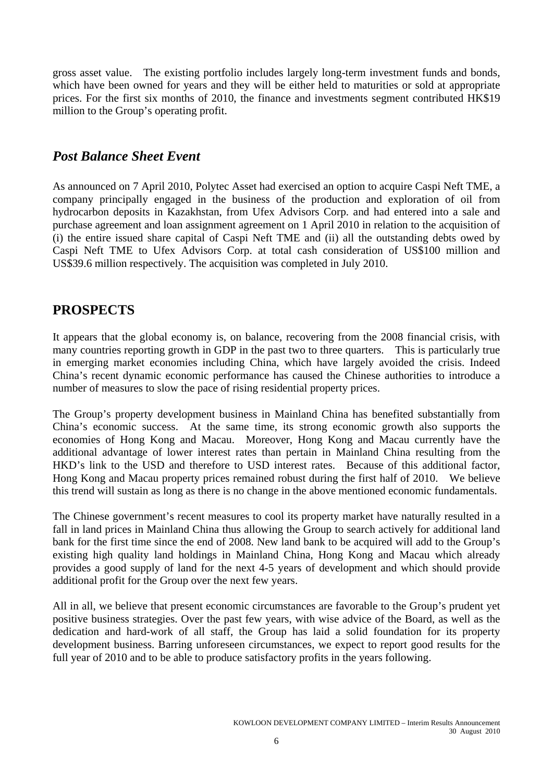gross asset value. The existing portfolio includes largely long-term investment funds and bonds, which have been owned for years and they will be either held to maturities or sold at appropriate prices. For the first six months of 2010, the finance and investments segment contributed HK\$19 million to the Group's operating profit.

# *Post Balance Sheet Event*

As announced on 7 April 2010, Polytec Asset had exercised an option to acquire Caspi Neft TME, a company principally engaged in the business of the production and exploration of oil from hydrocarbon deposits in Kazakhstan, from Ufex Advisors Corp. and had entered into a sale and purchase agreement and loan assignment agreement on 1 April 2010 in relation to the acquisition of (i) the entire issued share capital of Caspi Neft TME and (ii) all the outstanding debts owed by Caspi Neft TME to Ufex Advisors Corp. at total cash consideration of US\$100 million and US\$39.6 million respectively. The acquisition was completed in July 2010.

# **PROSPECTS**

It appears that the global economy is, on balance, recovering from the 2008 financial crisis, with many countries reporting growth in GDP in the past two to three quarters. This is particularly true in emerging market economies including China, which have largely avoided the crisis. Indeed China's recent dynamic economic performance has caused the Chinese authorities to introduce a number of measures to slow the pace of rising residential property prices.

The Group's property development business in Mainland China has benefited substantially from China's economic success. At the same time, its strong economic growth also supports the economies of Hong Kong and Macau. Moreover, Hong Kong and Macau currently have the additional advantage of lower interest rates than pertain in Mainland China resulting from the HKD's link to the USD and therefore to USD interest rates. Because of this additional factor, Hong Kong and Macau property prices remained robust during the first half of 2010. We believe this trend will sustain as long as there is no change in the above mentioned economic fundamentals.

The Chinese government's recent measures to cool its property market have naturally resulted in a fall in land prices in Mainland China thus allowing the Group to search actively for additional land bank for the first time since the end of 2008. New land bank to be acquired will add to the Group's existing high quality land holdings in Mainland China, Hong Kong and Macau which already provides a good supply of land for the next 4-5 years of development and which should provide additional profit for the Group over the next few years.

All in all, we believe that present economic circumstances are favorable to the Group's prudent yet positive business strategies. Over the past few years, with wise advice of the Board, as well as the dedication and hard-work of all staff, the Group has laid a solid foundation for its property development business. Barring unforeseen circumstances, we expect to report good results for the full year of 2010 and to be able to produce satisfactory profits in the years following.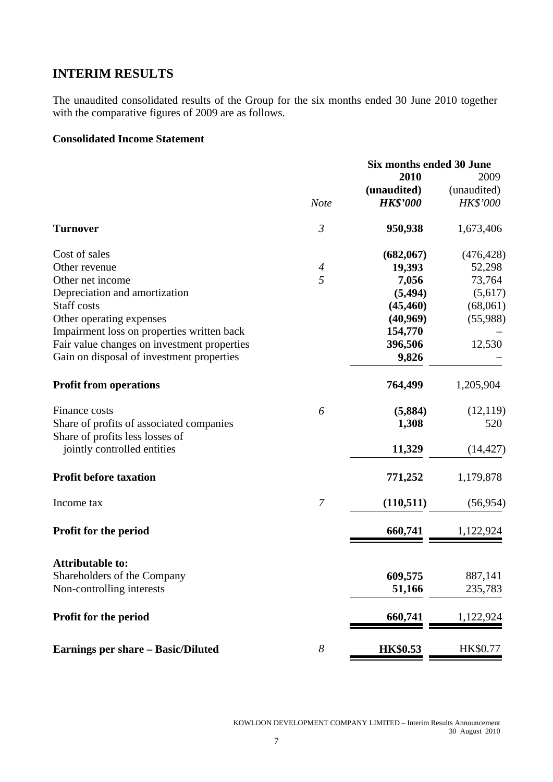# **INTERIM RESULTS**

The unaudited consolidated results of the Group for the six months ended 30 June 2010 together with the comparative figures of 2009 are as follows.

## **Consolidated Income Statement**

|                                             |                  | Six months ended 30 June |             |  |
|---------------------------------------------|------------------|--------------------------|-------------|--|
|                                             |                  | 2010                     | 2009        |  |
|                                             |                  | (unaudited)              | (unaudited) |  |
|                                             | <b>Note</b>      | <b>HK\$'000</b>          | HK\$'000    |  |
| <b>Turnover</b>                             | $\mathfrak{Z}$   | 950,938                  | 1,673,406   |  |
| Cost of sales                               |                  | (682,067)                | (476, 428)  |  |
| Other revenue                               | $\boldsymbol{4}$ | 19,393                   | 52,298      |  |
| Other net income                            | 5                | 7,056                    | 73,764      |  |
| Depreciation and amortization               |                  | (5, 494)                 | (5,617)     |  |
| <b>Staff</b> costs                          |                  | (45, 460)                | (68,061)    |  |
| Other operating expenses                    |                  | (40,969)                 | (55,988)    |  |
| Impairment loss on properties written back  |                  | 154,770                  |             |  |
| Fair value changes on investment properties |                  | 396,506                  | 12,530      |  |
| Gain on disposal of investment properties   |                  | 9,826                    |             |  |
| <b>Profit from operations</b>               |                  | 764,499                  | 1,205,904   |  |
| Finance costs                               | 6                | (5,884)                  | (12, 119)   |  |
| Share of profits of associated companies    |                  | 1,308                    | 520         |  |
| Share of profits less losses of             |                  |                          |             |  |
| jointly controlled entities                 |                  | 11,329                   | (14, 427)   |  |
| <b>Profit before taxation</b>               |                  | 771,252                  | 1,179,878   |  |
| Income tax                                  | $\overline{7}$   | (110, 511)               | (56, 954)   |  |
| <b>Profit for the period</b>                |                  | 660,741                  | 1,122,924   |  |
| <b>Attributable to:</b>                     |                  |                          |             |  |
| Shareholders of the Company                 |                  | 609,575                  | 887,141     |  |
| Non-controlling interests                   |                  | 51,166                   | 235,783     |  |
|                                             |                  |                          |             |  |
| Profit for the period                       |                  | 660,741                  | 1,122,924   |  |
| <b>Earnings per share - Basic/Diluted</b>   | $\boldsymbol{8}$ | <b>HK\$0.53</b>          | HK\$0.77    |  |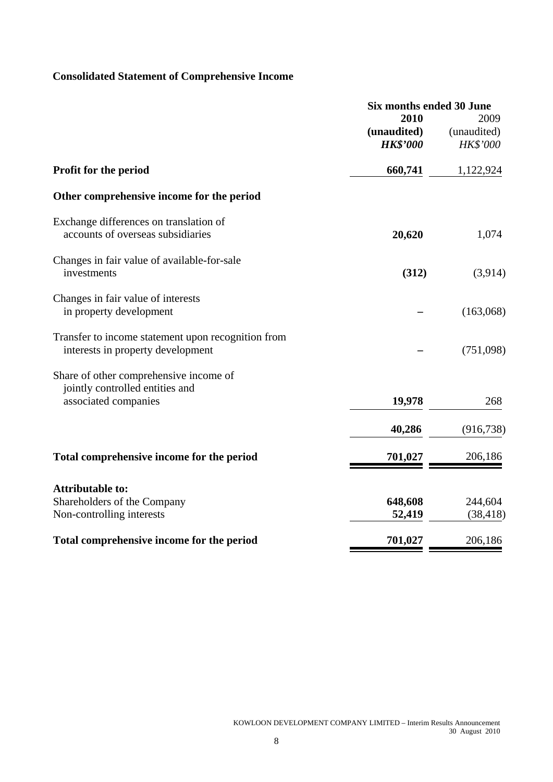# **Consolidated Statement of Comprehensive Income**

|                                                    | Six months ended 30 June |             |  |
|----------------------------------------------------|--------------------------|-------------|--|
|                                                    | 2010                     | 2009        |  |
|                                                    | (unaudited)              | (unaudited) |  |
|                                                    | <b>HK\$'000</b>          | HK\$'000    |  |
| Profit for the period                              | 660,741                  | 1,122,924   |  |
| Other comprehensive income for the period          |                          |             |  |
| Exchange differences on translation of             |                          |             |  |
| accounts of overseas subsidiaries                  | 20,620                   | 1,074       |  |
| Changes in fair value of available-for-sale        |                          |             |  |
| investments                                        | (312)                    | (3,914)     |  |
| Changes in fair value of interests                 |                          |             |  |
| in property development                            |                          | (163,068)   |  |
| Transfer to income statement upon recognition from |                          |             |  |
| interests in property development                  |                          | (751,098)   |  |
| Share of other comprehensive income of             |                          |             |  |
| jointly controlled entities and                    |                          |             |  |
| associated companies                               | 19,978                   | 268         |  |
|                                                    | 40,286                   | (916, 738)  |  |
| Total comprehensive income for the period          | 701,027                  | 206,186     |  |
| <b>Attributable to:</b>                            |                          |             |  |
| Shareholders of the Company                        | 648,608                  | 244,604     |  |
| Non-controlling interests                          | 52,419                   | (38, 418)   |  |
|                                                    |                          |             |  |
| Total comprehensive income for the period          | 701,027                  | 206,186     |  |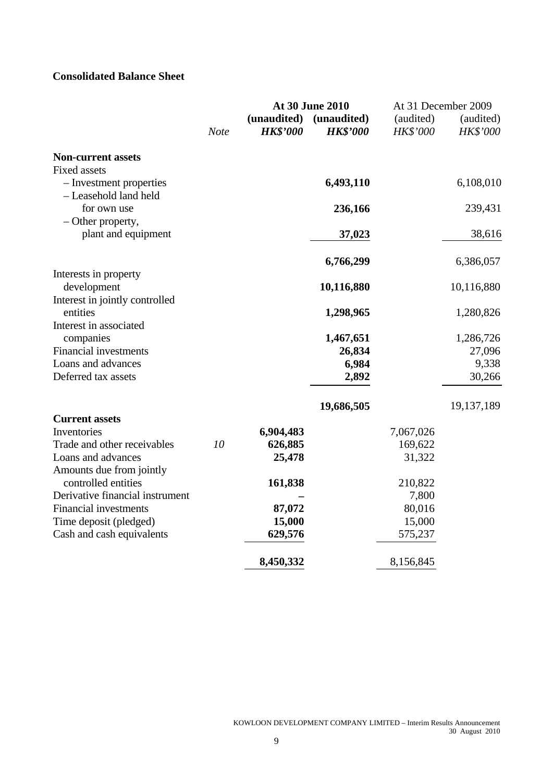# **Consolidated Balance Sheet**

|                                                                         | At 30 June 2010 |                                |                                |                              | At 31 December 2009   |
|-------------------------------------------------------------------------|-----------------|--------------------------------|--------------------------------|------------------------------|-----------------------|
|                                                                         | <b>Note</b>     | (unaudited)<br><b>HK\$'000</b> | (unaudited)<br><b>HK\$'000</b> | (audited)<br><b>HK\$'000</b> | (audited)<br>HK\$'000 |
| <b>Non-current assets</b>                                               |                 |                                |                                |                              |                       |
| <b>Fixed assets</b><br>- Investment properties<br>- Leasehold land held |                 |                                | 6,493,110                      |                              | 6,108,010             |
| for own use                                                             |                 |                                | 236,166                        |                              | 239,431               |
| - Other property,<br>plant and equipment                                |                 |                                | 37,023                         |                              | 38,616                |
|                                                                         |                 |                                | 6,766,299                      |                              | 6,386,057             |
| Interests in property<br>development                                    |                 |                                | 10,116,880                     |                              | 10,116,880            |
| Interest in jointly controlled<br>entities                              |                 |                                | 1,298,965                      |                              | 1,280,826             |
| Interest in associated<br>companies                                     |                 |                                | 1,467,651                      |                              | 1,286,726             |
| <b>Financial investments</b>                                            |                 |                                | 26,834                         |                              | 27,096                |
| Loans and advances<br>Deferred tax assets                               |                 |                                | 6,984<br>2,892                 |                              | 9,338<br>30,266       |
|                                                                         |                 |                                |                                |                              |                       |
|                                                                         |                 |                                | 19,686,505                     |                              | 19,137,189            |
| <b>Current assets</b><br>Inventories                                    |                 | 6,904,483                      |                                | 7,067,026                    |                       |
| Trade and other receivables                                             | 10              | 626,885                        |                                | 169,622                      |                       |
| Loans and advances                                                      |                 | 25,478                         |                                | 31,322                       |                       |
| Amounts due from jointly                                                |                 |                                |                                |                              |                       |
| controlled entities                                                     |                 | 161,838                        |                                | 210,822                      |                       |
| Derivative financial instrument                                         |                 |                                |                                | 7,800                        |                       |
| <b>Financial investments</b>                                            |                 | 87,072                         |                                | 80,016                       |                       |
| Time deposit (pledged)                                                  |                 | 15,000                         |                                | 15,000                       |                       |
| Cash and cash equivalents                                               |                 | 629,576                        |                                | 575,237                      |                       |
|                                                                         |                 | 8,450,332                      |                                | 8,156,845                    |                       |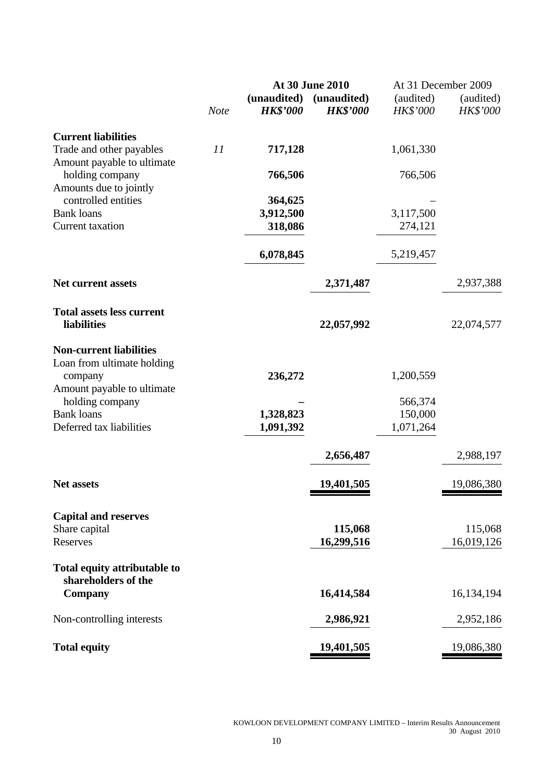|                                                              |             |                 | At 30 June 2010 |                 | At 31 December 2009 |
|--------------------------------------------------------------|-------------|-----------------|-----------------|-----------------|---------------------|
|                                                              |             | (unaudited)     | (unaudited)     | (audited)       | (audited)           |
|                                                              | <b>Note</b> | <b>HK\$'000</b> | <b>HK\$'000</b> | <b>HK\$'000</b> | HK\$'000            |
| <b>Current liabilities</b>                                   |             |                 |                 |                 |                     |
| Trade and other payables                                     | 11          | 717,128         |                 | 1,061,330       |                     |
| Amount payable to ultimate                                   |             |                 |                 |                 |                     |
| holding company                                              |             | 766,506         |                 | 766,506         |                     |
| Amounts due to jointly<br>controlled entities                |             | 364,625         |                 |                 |                     |
| <b>Bank loans</b>                                            |             | 3,912,500       |                 | 3,117,500       |                     |
| Current taxation                                             |             | 318,086         |                 | 274,121         |                     |
|                                                              |             |                 |                 |                 |                     |
|                                                              |             | 6,078,845       |                 | 5,219,457       |                     |
| <b>Net current assets</b>                                    |             |                 | 2,371,487       |                 | 2,937,388           |
|                                                              |             |                 |                 |                 |                     |
| <b>Total assets less current</b><br>liabilities              |             |                 | 22,057,992      |                 | 22,074,577          |
|                                                              |             |                 |                 |                 |                     |
| <b>Non-current liabilities</b><br>Loan from ultimate holding |             |                 |                 |                 |                     |
| company                                                      |             | 236,272         |                 | 1,200,559       |                     |
| Amount payable to ultimate                                   |             |                 |                 |                 |                     |
| holding company                                              |             |                 |                 | 566,374         |                     |
| <b>Bank</b> loans                                            |             | 1,328,823       |                 | 150,000         |                     |
| Deferred tax liabilities                                     |             | 1,091,392       |                 | 1,071,264       |                     |
|                                                              |             |                 | 2,656,487       |                 | 2,988,197           |
| <b>Net assets</b>                                            |             |                 | 19,401,505      |                 | 19,086,380          |
|                                                              |             |                 |                 |                 |                     |
| <b>Capital and reserves</b>                                  |             |                 |                 |                 |                     |
| Share capital                                                |             |                 | 115,068         |                 | 115,068             |
| Reserves                                                     |             |                 | 16,299,516      |                 | 16,019,126          |
| Total equity attributable to<br>shareholders of the          |             |                 |                 |                 |                     |
| Company                                                      |             |                 | 16,414,584      |                 | 16,134,194          |
|                                                              |             |                 |                 |                 |                     |
| Non-controlling interests                                    |             |                 | 2,986,921       |                 | 2,952,186           |
| <b>Total equity</b>                                          |             |                 | 19,401,505      |                 | 19,086,380          |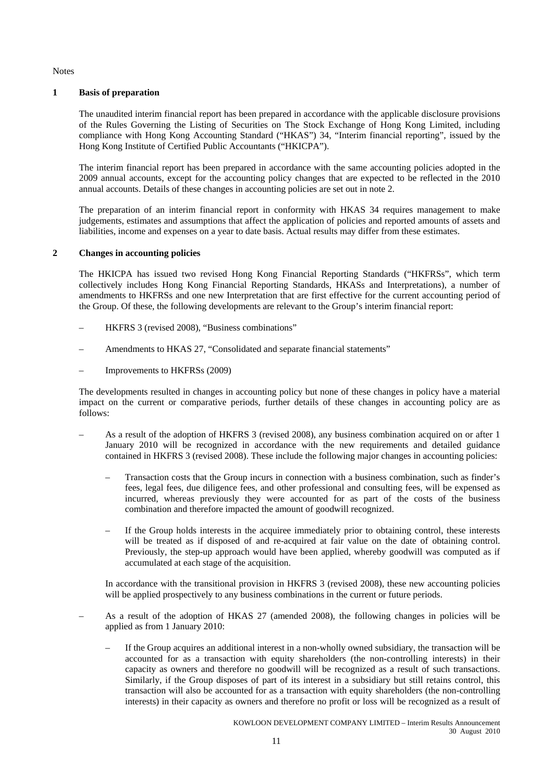Notes

#### **1 Basis of preparation**

The unaudited interim financial report has been prepared in accordance with the applicable disclosure provisions of the Rules Governing the Listing of Securities on The Stock Exchange of Hong Kong Limited, including compliance with Hong Kong Accounting Standard ("HKAS") 34, "Interim financial reporting", issued by the Hong Kong Institute of Certified Public Accountants ("HKICPA").

The interim financial report has been prepared in accordance with the same accounting policies adopted in the 2009 annual accounts, except for the accounting policy changes that are expected to be reflected in the 2010 annual accounts. Details of these changes in accounting policies are set out in note 2.

The preparation of an interim financial report in conformity with HKAS 34 requires management to make judgements, estimates and assumptions that affect the application of policies and reported amounts of assets and liabilities, income and expenses on a year to date basis. Actual results may differ from these estimates.

#### **2 Changes in accounting policies**

The HKICPA has issued two revised Hong Kong Financial Reporting Standards ("HKFRSs", which term collectively includes Hong Kong Financial Reporting Standards, HKASs and Interpretations), a number of amendments to HKFRSs and one new Interpretation that are first effective for the current accounting period of the Group. Of these, the following developments are relevant to the Group's interim financial report:

- HKFRS 3 (revised 2008), "Business combinations"
- Amendments to HKAS 27, "Consolidated and separate financial statements"
- Improvements to HKFRSs (2009)

The developments resulted in changes in accounting policy but none of these changes in policy have a material impact on the current or comparative periods, further details of these changes in accounting policy are as follows:

- As a result of the adoption of HKFRS 3 (revised 2008), any business combination acquired on or after 1 January 2010 will be recognized in accordance with the new requirements and detailed guidance contained in HKFRS 3 (revised 2008). These include the following major changes in accounting policies:
	- Transaction costs that the Group incurs in connection with a business combination, such as finder's fees, legal fees, due diligence fees, and other professional and consulting fees, will be expensed as incurred, whereas previously they were accounted for as part of the costs of the business combination and therefore impacted the amount of goodwill recognized.
	- If the Group holds interests in the acquiree immediately prior to obtaining control, these interests will be treated as if disposed of and re-acquired at fair value on the date of obtaining control. Previously, the step-up approach would have been applied, whereby goodwill was computed as if accumulated at each stage of the acquisition.

In accordance with the transitional provision in HKFRS 3 (revised 2008), these new accounting policies will be applied prospectively to any business combinations in the current or future periods.

- As a result of the adoption of HKAS 27 (amended 2008), the following changes in policies will be applied as from 1 January 2010:
	- If the Group acquires an additional interest in a non-wholly owned subsidiary, the transaction will be accounted for as a transaction with equity shareholders (the non-controlling interests) in their capacity as owners and therefore no goodwill will be recognized as a result of such transactions. Similarly, if the Group disposes of part of its interest in a subsidiary but still retains control, this transaction will also be accounted for as a transaction with equity shareholders (the non-controlling interests) in their capacity as owners and therefore no profit or loss will be recognized as a result of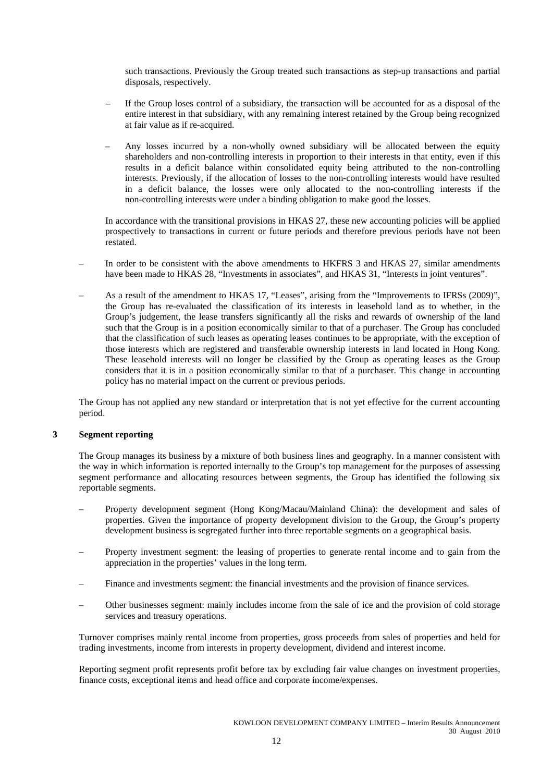such transactions. Previously the Group treated such transactions as step-up transactions and partial disposals, respectively.

- If the Group loses control of a subsidiary, the transaction will be accounted for as a disposal of the entire interest in that subsidiary, with any remaining interest retained by the Group being recognized at fair value as if re-acquired.
- Any losses incurred by a non-wholly owned subsidiary will be allocated between the equity shareholders and non-controlling interests in proportion to their interests in that entity, even if this results in a deficit balance within consolidated equity being attributed to the non-controlling interests. Previously, if the allocation of losses to the non-controlling interests would have resulted in a deficit balance, the losses were only allocated to the non-controlling interests if the non-controlling interests were under a binding obligation to make good the losses.

In accordance with the transitional provisions in HKAS 27, these new accounting policies will be applied prospectively to transactions in current or future periods and therefore previous periods have not been restated.

- In order to be consistent with the above amendments to HKFRS 3 and HKAS 27, similar amendments have been made to HKAS 28, "Investments in associates", and HKAS 31, "Interests in joint ventures".
- As a result of the amendment to HKAS 17, "Leases", arising from the "Improvements to IFRSs (2009)", the Group has re-evaluated the classification of its interests in leasehold land as to whether, in the Group's judgement, the lease transfers significantly all the risks and rewards of ownership of the land such that the Group is in a position economically similar to that of a purchaser. The Group has concluded that the classification of such leases as operating leases continues to be appropriate, with the exception of those interests which are registered and transferable ownership interests in land located in Hong Kong. These leasehold interests will no longer be classified by the Group as operating leases as the Group considers that it is in a position economically similar to that of a purchaser. This change in accounting policy has no material impact on the current or previous periods.

The Group has not applied any new standard or interpretation that is not yet effective for the current accounting period.

#### **3 Segment reporting**

The Group manages its business by a mixture of both business lines and geography. In a manner consistent with the way in which information is reported internally to the Group's top management for the purposes of assessing segment performance and allocating resources between segments, the Group has identified the following six reportable segments.

- Property development segment (Hong Kong/Macau/Mainland China): the development and sales of properties. Given the importance of property development division to the Group, the Group's property development business is segregated further into three reportable segments on a geographical basis.
- Property investment segment: the leasing of properties to generate rental income and to gain from the appreciation in the properties' values in the long term.
- Finance and investments segment: the financial investments and the provision of finance services.
- Other businesses segment: mainly includes income from the sale of ice and the provision of cold storage services and treasury operations.

Turnover comprises mainly rental income from properties, gross proceeds from sales of properties and held for trading investments, income from interests in property development, dividend and interest income.

Reporting segment profit represents profit before tax by excluding fair value changes on investment properties, finance costs, exceptional items and head office and corporate income/expenses.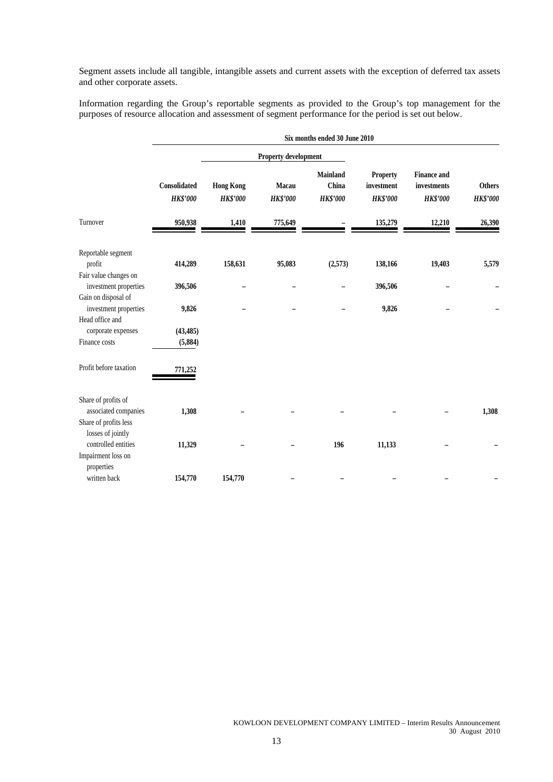Segment assets include all tangible, intangible assets and current assets with the exception of deferred tax assets and other corporate assets.

Information regarding the Group's reportable segments as provided to the Group's top management for the purposes of resource allocation and assessment of segment performance for the period is set out below.

|                                                                 | Six months ended 30 June 2010   |                                     |                          |                                             |                                                  |                                                      |                                  |
|-----------------------------------------------------------------|---------------------------------|-------------------------------------|--------------------------|---------------------------------------------|--------------------------------------------------|------------------------------------------------------|----------------------------------|
|                                                                 |                                 |                                     | Property development     |                                             |                                                  |                                                      |                                  |
|                                                                 | Consolidated<br><b>HK\$'000</b> | <b>Hong Kong</b><br><b>HK\$'000</b> | Macau<br><b>HK\$'000</b> | <b>Mainland</b><br>China<br><b>HK\$'000</b> | <b>Property</b><br>investment<br><b>HK\$'000</b> | <b>Finance and</b><br>investments<br><b>HK\$'000</b> | <b>Others</b><br><b>HK\$'000</b> |
| Turnover                                                        | 950,938                         | 1,410                               | 775,649                  |                                             | 135,279                                          | 12,210                                               | 26,390                           |
| Reportable segment                                              |                                 |                                     |                          |                                             |                                                  |                                                      |                                  |
| profit<br>Fair value changes on                                 | 414,289                         | 158,631                             | 95,083                   | (2,573)                                     | 138,166                                          | 19,403                                               | 5,579                            |
| investment properties                                           | 396,506                         |                                     |                          |                                             | 396,506                                          |                                                      |                                  |
| Gain on disposal of<br>investment properties<br>Head office and | 9,826                           |                                     |                          |                                             | 9,826                                            |                                                      |                                  |
| corporate expenses                                              | (43, 485)                       |                                     |                          |                                             |                                                  |                                                      |                                  |
| Finance costs                                                   | (5,884)                         |                                     |                          |                                             |                                                  |                                                      |                                  |
| Profit before taxation                                          | 771,252                         |                                     |                          |                                             |                                                  |                                                      |                                  |
| Share of profits of                                             |                                 |                                     |                          |                                             |                                                  |                                                      |                                  |
| associated companies                                            | 1,308                           |                                     |                          |                                             |                                                  |                                                      | 1,308                            |
| Share of profits less<br>losses of jointly                      |                                 |                                     |                          |                                             |                                                  |                                                      |                                  |
| controlled entities                                             | 11,329                          |                                     |                          | 196                                         | 11,133                                           |                                                      |                                  |
| Impairment loss on<br>properties                                |                                 |                                     |                          |                                             |                                                  |                                                      |                                  |
| written back                                                    | 154,770                         | 154,770                             |                          |                                             |                                                  |                                                      |                                  |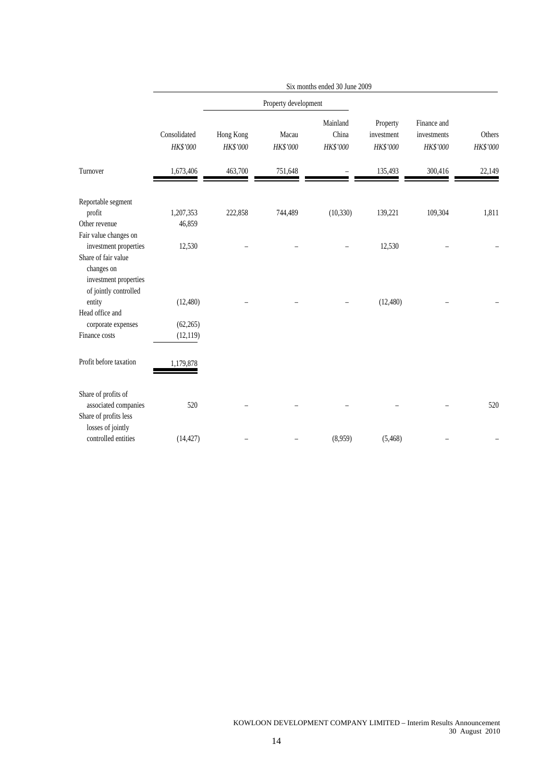|                                                                        | Six months ended 30 June 2009 |                       |                      |                               |                                    |                                        |                    |
|------------------------------------------------------------------------|-------------------------------|-----------------------|----------------------|-------------------------------|------------------------------------|----------------------------------------|--------------------|
|                                                                        |                               |                       | Property development |                               |                                    |                                        |                    |
|                                                                        | Consolidated<br>HK\$'000      | Hong Kong<br>HK\$'000 | Macau<br>HK\$'000    | Mainland<br>China<br>HK\$'000 | Property<br>investment<br>HK\$'000 | Finance and<br>investments<br>HK\$'000 | Others<br>HK\$'000 |
| Turnover                                                               | 1,673,406                     | 463,700               | 751,648              |                               | 135,493                            | 300,416                                | 22,149             |
| Reportable segment<br>profit<br>Other revenue                          | 1,207,353<br>46,859           | 222,858               | 744,489              | (10, 330)                     | 139,221                            | 109,304                                | 1,811              |
| Fair value changes on<br>investment properties<br>Share of fair value  | 12,530                        |                       |                      |                               | 12,530                             |                                        |                    |
| changes on<br>investment properties<br>of jointly controlled<br>entity | (12, 480)                     |                       |                      |                               | (12, 480)                          |                                        |                    |
| Head office and<br>corporate expenses                                  | (62, 265)                     |                       |                      |                               |                                    |                                        |                    |
| Finance costs                                                          | (12, 119)                     |                       |                      |                               |                                    |                                        |                    |
| Profit before taxation                                                 | 1,179,878                     |                       |                      |                               |                                    |                                        |                    |
| Share of profits of<br>associated companies<br>Share of profits less   | 520                           |                       |                      |                               |                                    |                                        | 520                |
| losses of jointly<br>controlled entities                               | (14, 427)                     |                       |                      | (8,959)                       | (5,468)                            |                                        |                    |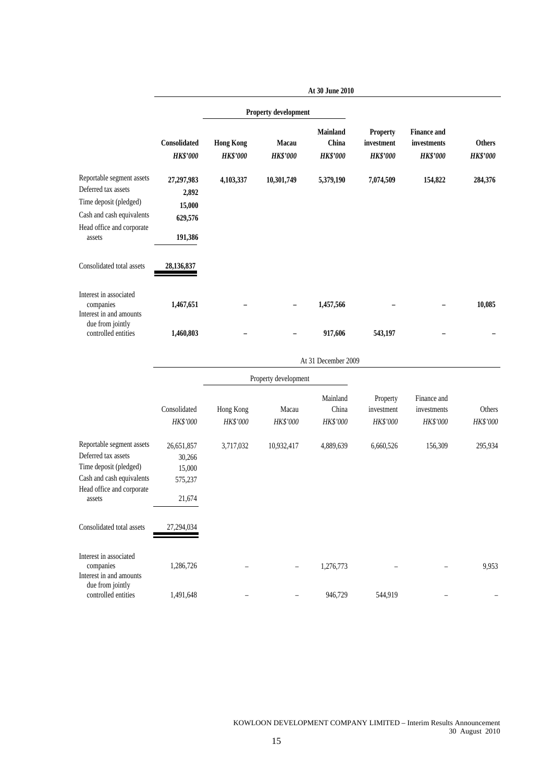|                                                                                                                                                |                                                     |                                     |                             | At 30 June 2010                      |                                                  |                                                      |                                  |
|------------------------------------------------------------------------------------------------------------------------------------------------|-----------------------------------------------------|-------------------------------------|-----------------------------|--------------------------------------|--------------------------------------------------|------------------------------------------------------|----------------------------------|
|                                                                                                                                                |                                                     |                                     | <b>Property development</b> |                                      |                                                  |                                                      |                                  |
|                                                                                                                                                | Consolidated<br><b>HK\$'000</b>                     | <b>Hong Kong</b><br><b>HK\$'000</b> | Macau<br><b>HK\$'000</b>    | Mainland<br>China<br><b>HK\$'000</b> | <b>Property</b><br>investment<br><b>HK\$'000</b> | <b>Finance and</b><br>investments<br><b>HK\$'000</b> | <b>Others</b><br><b>HK\$'000</b> |
| Reportable segment assets<br>Deferred tax assets<br>Time deposit (pledged)<br>Cash and cash equivalents<br>Head office and corporate<br>assets | 27,297,983<br>2,892<br>15,000<br>629,576<br>191,386 | 4,103,337                           | 10,301,749                  | 5,379,190                            | 7,074,509                                        | 154,822                                              | 284,376                          |
| Consolidated total assets                                                                                                                      | 28,136,837                                          |                                     |                             |                                      |                                                  |                                                      |                                  |
| Interest in associated<br>companies<br>Interest in and amounts                                                                                 | 1,467,651                                           |                                     |                             | 1,457,566                            |                                                  |                                                      | 10,085                           |
| due from jointly<br>controlled entities                                                                                                        | 1,460,803                                           |                                     |                             | 917,606                              | 543,197                                          |                                                      |                                  |
|                                                                                                                                                |                                                     |                                     |                             | At 31 December 2009                  |                                                  |                                                      |                                  |
|                                                                                                                                                |                                                     |                                     | Property development        |                                      |                                                  |                                                      |                                  |
|                                                                                                                                                | Consolidated<br>HK\$'000                            | Hong Kong<br>HK\$'000               | Macau<br>HK\$'000           | Mainland<br>China<br>HK\$'000        | Property<br>investment<br>HK\$'000               | Finance and<br>investments<br>HK\$'000               | Others<br>HK\$'000               |
| Reportable segment assets<br>Deferred tax assets<br>Time deposit (pledged)<br>Cash and cash equivalents<br>Head office and corporate<br>assets | 26,651,857<br>30,266<br>15,000<br>575,237<br>21,674 | 3,717,032                           | 10,932,417                  | 4,889,639                            | 6,660,526                                        | 156,309                                              | 295,934                          |
| Consolidated total assets                                                                                                                      | 27.294.034                                          |                                     |                             |                                      |                                                  |                                                      |                                  |
| Interest in associated<br>companies<br>Interest in and amounts                                                                                 | 1,286,726                                           |                                     |                             | 1,276,773                            |                                                  |                                                      | 9,953                            |
| due from jointly<br>controlled entities                                                                                                        | 1,491,648                                           |                                     |                             | 946,729                              | 544,919                                          |                                                      |                                  |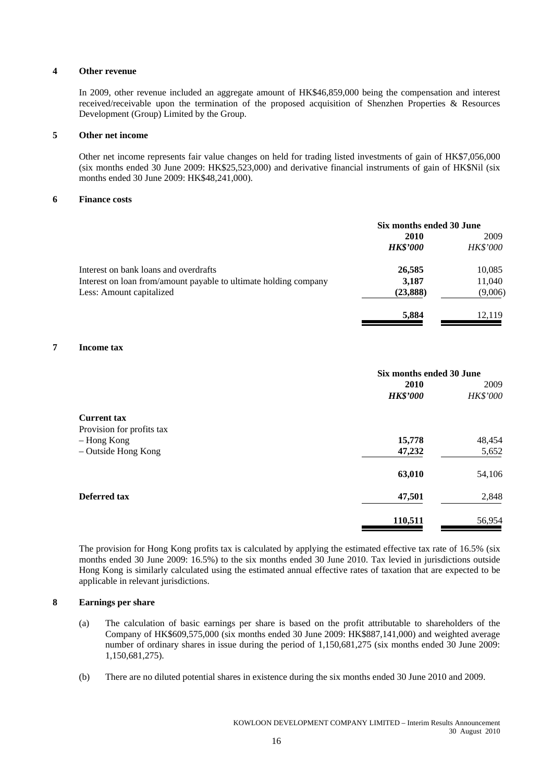#### **4 Other revenue**

In 2009, other revenue included an aggregate amount of HK\$46,859,000 being the compensation and interest received/receivable upon the termination of the proposed acquisition of Shenzhen Properties & Resources Development (Group) Limited by the Group.

#### **5 Other net income**

Other net income represents fair value changes on held for trading listed investments of gain of HK\$7,056,000 (six months ended 30 June 2009: HK\$25,523,000) and derivative financial instruments of gain of HK\$Nil (six months ended 30 June 2009: HK\$48,241,000).

#### **6 Finance costs**

|                                                                  | Six months ended 30 June |                 |  |
|------------------------------------------------------------------|--------------------------|-----------------|--|
|                                                                  | 2010                     | 2009            |  |
|                                                                  | <b>HK\$'000</b>          | <i>HK\$'000</i> |  |
| Interest on bank loans and overdrafts                            | 26,585                   | 10,085          |  |
| Interest on loan from/amount payable to ultimate holding company | 3,187                    | 11,040          |  |
| Less: Amount capitalized                                         | (23, 888)                | (9,006)         |  |
|                                                                  | 5,884                    | 12.119          |  |

#### **7 Income tax**

|                           | Six months ended 30 June |                 |  |
|---------------------------|--------------------------|-----------------|--|
|                           | 2010                     | 2009            |  |
|                           | <b>HK\$'000</b>          | <b>HK\$'000</b> |  |
| <b>Current tax</b>        |                          |                 |  |
| Provision for profits tax |                          |                 |  |
| - Hong Kong               | 15,778                   | 48,454          |  |
| - Outside Hong Kong       | 47,232                   | 5,652           |  |
|                           | 63,010                   | 54,106          |  |
| Deferred tax              | 47,501                   | 2,848           |  |
|                           | 110,511                  | 56,954          |  |

The provision for Hong Kong profits tax is calculated by applying the estimated effective tax rate of 16.5% (six months ended 30 June 2009: 16.5%) to the six months ended 30 June 2010. Tax levied in jurisdictions outside Hong Kong is similarly calculated using the estimated annual effective rates of taxation that are expected to be applicable in relevant jurisdictions.

#### **8 Earnings per share**

- (a) The calculation of basic earnings per share is based on the profit attributable to shareholders of the Company of HK\$609,575,000 (six months ended 30 June 2009: HK\$887,141,000) and weighted average number of ordinary shares in issue during the period of 1,150,681,275 (six months ended 30 June 2009: 1,150,681,275).
- (b) There are no diluted potential shares in existence during the six months ended 30 June 2010 and 2009.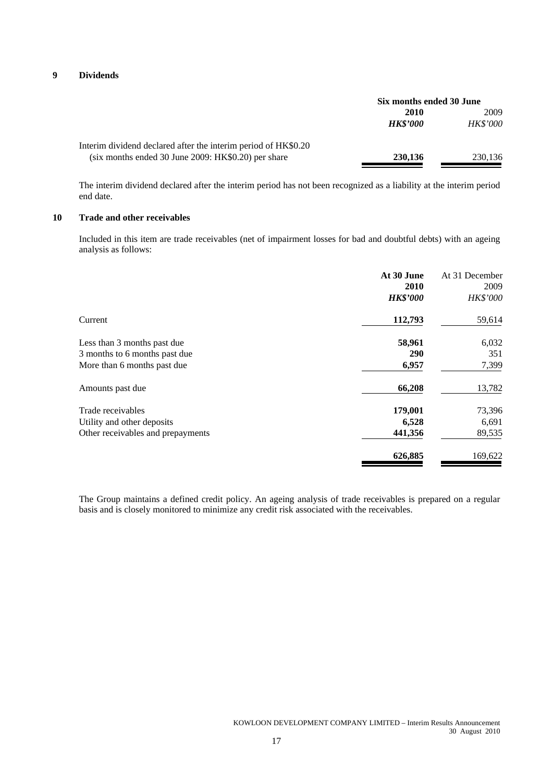#### **9 Dividends**

|                                                                | Six months ended 30 June |                 |  |
|----------------------------------------------------------------|--------------------------|-----------------|--|
|                                                                | 2010                     | 2009            |  |
|                                                                | <b>HK\$'000</b>          | <b>HK\$'000</b> |  |
| Interim dividend declared after the interim period of HK\$0.20 |                          |                 |  |
| (six months ended 30 June 2009: HK\$0.20) per share            | 230,136                  | 230,136         |  |

The interim dividend declared after the interim period has not been recognized as a liability at the interim period end date.

### **10 Trade and other receivables**

Included in this item are trade receivables (net of impairment losses for bad and doubtful debts) with an ageing analysis as follows:

|                                   | At 30 June<br>2010<br><b>HK\$'000</b> | At 31 December<br>2009<br>HK\$'000 |
|-----------------------------------|---------------------------------------|------------------------------------|
| Current                           | 112,793                               | 59,614                             |
| Less than 3 months past due       | 58,961                                | 6,032                              |
| 3 months to 6 months past due     | <b>290</b>                            | 351                                |
| More than 6 months past due       | 6,957                                 | 7,399                              |
| Amounts past due                  | 66,208                                | 13,782                             |
| Trade receivables                 | 179,001                               | 73,396                             |
| Utility and other deposits        | 6,528                                 | 6,691                              |
| Other receivables and prepayments | 441,356                               | 89,535                             |
|                                   | 626,885                               | 169,622                            |

The Group maintains a defined credit policy. An ageing analysis of trade receivables is prepared on a regular basis and is closely monitored to minimize any credit risk associated with the receivables.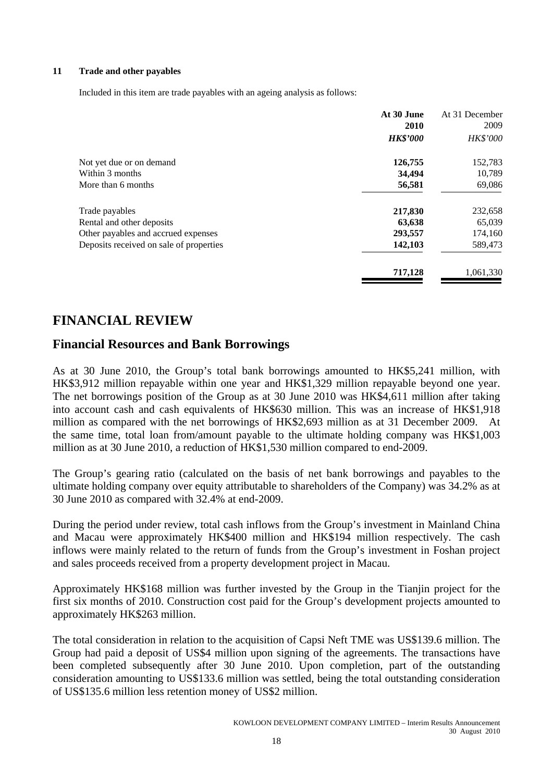#### **11 Trade and other payables**

Included in this item are trade payables with an ageing analysis as follows:

|                                         | At 30 June      | At 31 December |
|-----------------------------------------|-----------------|----------------|
|                                         | 2010            | 2009           |
|                                         | <b>HK\$'000</b> | HK\$'000       |
| Not yet due or on demand                | 126,755         | 152,783        |
| Within 3 months                         | 34,494          | 10,789         |
| More than 6 months                      | 56,581          | 69,086         |
| Trade payables                          | 217,830         | 232,658        |
| Rental and other deposits               | 63,638          | 65,039         |
| Other payables and accrued expenses     | 293,557         | 174,160        |
| Deposits received on sale of properties | 142,103         | 589,473        |
|                                         | 717,128         | 1,061,330      |

# **FINANCIAL REVIEW**

## **Financial Resources and Bank Borrowings**

As at 30 June 2010, the Group's total bank borrowings amounted to HK\$5,241 million, with HK\$3,912 million repayable within one year and HK\$1,329 million repayable beyond one year. The net borrowings position of the Group as at 30 June 2010 was HK\$4,611 million after taking into account cash and cash equivalents of HK\$630 million. This was an increase of HK\$1,918 million as compared with the net borrowings of HK\$2,693 million as at 31 December 2009. At the same time, total loan from/amount payable to the ultimate holding company was HK\$1,003 million as at 30 June 2010, a reduction of HK\$1,530 million compared to end-2009.

The Group's gearing ratio (calculated on the basis of net bank borrowings and payables to the ultimate holding company over equity attributable to shareholders of the Company) was 34.2% as at 30 June 2010 as compared with 32.4% at end-2009.

During the period under review, total cash inflows from the Group's investment in Mainland China and Macau were approximately HK\$400 million and HK\$194 million respectively. The cash inflows were mainly related to the return of funds from the Group's investment in Foshan project and sales proceeds received from a property development project in Macau.

Approximately HK\$168 million was further invested by the Group in the Tianjin project for the first six months of 2010. Construction cost paid for the Group's development projects amounted to approximately HK\$263 million.

The total consideration in relation to the acquisition of Capsi Neft TME was US\$139.6 million. The Group had paid a deposit of US\$4 million upon signing of the agreements. The transactions have been completed subsequently after 30 June 2010. Upon completion, part of the outstanding consideration amounting to US\$133.6 million was settled, being the total outstanding consideration of US\$135.6 million less retention money of US\$2 million.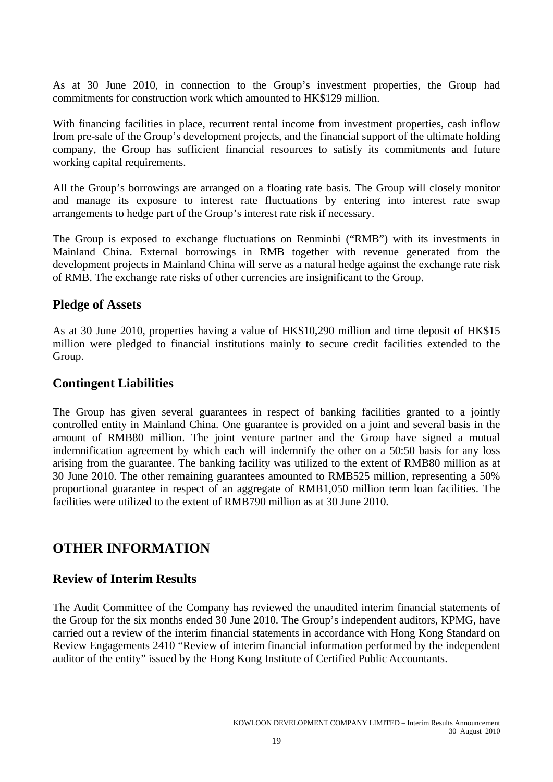As at 30 June 2010, in connection to the Group's investment properties, the Group had commitments for construction work which amounted to HK\$129 million.

With financing facilities in place, recurrent rental income from investment properties, cash inflow from pre-sale of the Group's development projects, and the financial support of the ultimate holding company, the Group has sufficient financial resources to satisfy its commitments and future working capital requirements.

All the Group's borrowings are arranged on a floating rate basis. The Group will closely monitor and manage its exposure to interest rate fluctuations by entering into interest rate swap arrangements to hedge part of the Group's interest rate risk if necessary.

The Group is exposed to exchange fluctuations on Renminbi ("RMB") with its investments in Mainland China. External borrowings in RMB together with revenue generated from the development projects in Mainland China will serve as a natural hedge against the exchange rate risk of RMB. The exchange rate risks of other currencies are insignificant to the Group.

## **Pledge of Assets**

As at 30 June 2010, properties having a value of HK\$10,290 million and time deposit of HK\$15 million were pledged to financial institutions mainly to secure credit facilities extended to the Group.

## **Contingent Liabilities**

The Group has given several guarantees in respect of banking facilities granted to a jointly controlled entity in Mainland China. One guarantee is provided on a joint and several basis in the amount of RMB80 million. The joint venture partner and the Group have signed a mutual indemnification agreement by which each will indemnify the other on a 50:50 basis for any loss arising from the guarantee. The banking facility was utilized to the extent of RMB80 million as at 30 June 2010. The other remaining guarantees amounted to RMB525 million, representing a 50% proportional guarantee in respect of an aggregate of RMB1,050 million term loan facilities. The facilities were utilized to the extent of RMB790 million as at 30 June 2010.

# **OTHER INFORMATION**

## **Review of Interim Results**

The Audit Committee of the Company has reviewed the unaudited interim financial statements of the Group for the six months ended 30 June 2010. The Group's independent auditors, KPMG, have carried out a review of the interim financial statements in accordance with Hong Kong Standard on Review Engagements 2410 "Review of interim financial information performed by the independent auditor of the entity" issued by the Hong Kong Institute of Certified Public Accountants.